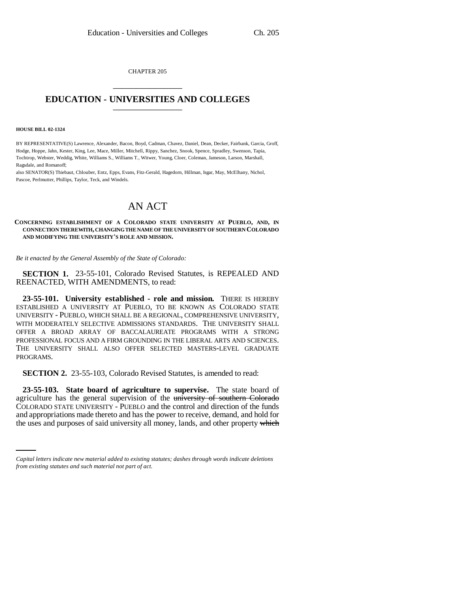CHAPTER 205 \_\_\_\_\_\_\_\_\_\_\_\_\_\_\_

## **EDUCATION - UNIVERSITIES AND COLLEGES** \_\_\_\_\_\_\_\_\_\_\_\_\_\_\_

## **HOUSE BILL 02-1324**

BY REPRESENTATIVE(S) Lawrence, Alexander, Bacon, Boyd, Cadman, Chavez, Daniel, Dean, Decker, Fairbank, Garcia, Groff, Hodge, Hoppe, Jahn, Kester, King, Lee, Mace, Miller, Mitchell, Rippy, Sanchez, Snook, Spence, Spradley, Swenson, Tapia, Tochtrop, Webster, Weddig, White, Williams S., Williams T., Witwer, Young, Cloer, Coleman, Jameson, Larson, Marshall, Ragsdale, and Romanoff;

also SENATOR(S) Thiebaut, Chlouber, Entz, Epps, Evans, Fitz-Gerald, Hagedorn, Hillman, Isgar, May, McElhany, Nichol, Pascoe, Perlmutter, Phillips, Taylor, Teck, and Windels.

## AN ACT

## **CONCERNING ESTABLISHMENT OF A COLORADO STATE UNIVERSITY AT PUEBLO, AND, IN CONNECTION THEREWITH, CHANGING THE NAME OF THE UNIVERSITY OF SOUTHERN COLORADO AND MODIFYING THE UNIVERSITY'S ROLE AND MISSION.**

*Be it enacted by the General Assembly of the State of Colorado:*

**SECTION 1.** 23-55-101, Colorado Revised Statutes, is REPEALED AND REENACTED, WITH AMENDMENTS, to read:

**23-55-101. University established - role and mission.** THERE IS HEREBY ESTABLISHED A UNIVERSITY AT PUEBLO, TO BE KNOWN AS COLORADO STATE UNIVERSITY - PUEBLO, WHICH SHALL BE A REGIONAL, COMPREHENSIVE UNIVERSITY, WITH MODERATELY SELECTIVE ADMISSIONS STANDARDS. THE UNIVERSITY SHALL OFFER A BROAD ARRAY OF BACCALAUREATE PROGRAMS WITH A STRONG PROFESSIONAL FOCUS AND A FIRM GROUNDING IN THE LIBERAL ARTS AND SCIENCES. THE UNIVERSITY SHALL ALSO OFFER SELECTED MASTERS-LEVEL GRADUATE PROGRAMS.

**SECTION 2.** 23-55-103, Colorado Revised Statutes, is amended to read:

and appropriations made thereto and has the power to receive, demand, and hold for **23-55-103. State board of agriculture to supervise.** The state board of agriculture has the general supervision of the university of southern Colorado COLORADO STATE UNIVERSITY - PUEBLO and the control and direction of the funds the uses and purposes of said university all money, lands, and other property which

*Capital letters indicate new material added to existing statutes; dashes through words indicate deletions from existing statutes and such material not part of act.*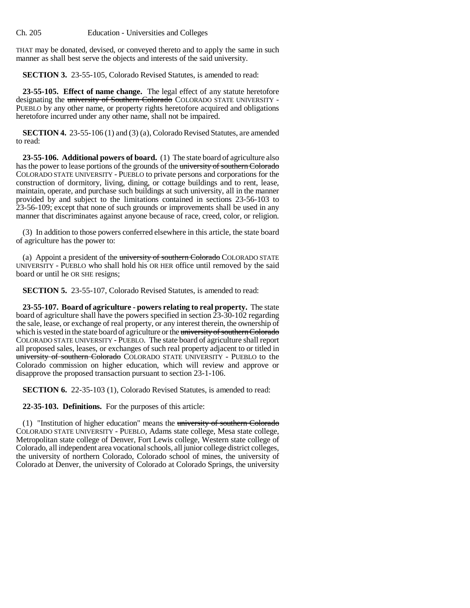THAT may be donated, devised, or conveyed thereto and to apply the same in such manner as shall best serve the objects and interests of the said university.

**SECTION 3.** 23-55-105, Colorado Revised Statutes, is amended to read:

**23-55-105. Effect of name change.** The legal effect of any statute heretofore designating the university of Southern Colorado COLORADO STATE UNIVERSITY -PUEBLO by any other name, or property rights heretofore acquired and obligations heretofore incurred under any other name, shall not be impaired.

**SECTION 4.** 23-55-106 (1) and (3) (a), Colorado Revised Statutes, are amended to read:

**23-55-106. Additional powers of board.** (1) The state board of agriculture also has the power to lease portions of the grounds of the university of southern Colorado COLORADO STATE UNIVERSITY - PUEBLO to private persons and corporations for the construction of dormitory, living, dining, or cottage buildings and to rent, lease, maintain, operate, and purchase such buildings at such university, all in the manner provided by and subject to the limitations contained in sections 23-56-103 to 23-56-109; except that none of such grounds or improvements shall be used in any manner that discriminates against anyone because of race, creed, color, or religion.

(3) In addition to those powers conferred elsewhere in this article, the state board of agriculture has the power to:

(a) Appoint a president of the university of southern Colorado COLORADO STATE UNIVERSITY - PUEBLO who shall hold his OR HER office until removed by the said board or until he OR SHE resigns;

**SECTION 5.** 23-55-107, Colorado Revised Statutes, is amended to read:

**23-55-107. Board of agriculture - powers relating to real property.** The state board of agriculture shall have the powers specified in section 23-30-102 regarding the sale, lease, or exchange of real property, or any interest therein, the ownership of which is vested in the state board of agriculture or the university of southern Colorado COLORADO STATE UNIVERSITY - PUEBLO. The state board of agriculture shall report all proposed sales, leases, or exchanges of such real property adjacent to or titled in university of southern Colorado COLORADO STATE UNIVERSITY - PUEBLO to the Colorado commission on higher education, which will review and approve or disapprove the proposed transaction pursuant to section 23-1-106.

**SECTION 6.** 22-35-103 (1), Colorado Revised Statutes, is amended to read:

**22-35-103. Definitions.** For the purposes of this article:

(1) "Institution of higher education" means the university of southern Colorado COLORADO STATE UNIVERSITY - PUEBLO, Adams state college, Mesa state college, Metropolitan state college of Denver, Fort Lewis college, Western state college of Colorado, all independent area vocational schools, all junior college district colleges, the university of northern Colorado, Colorado school of mines, the university of Colorado at Denver, the university of Colorado at Colorado Springs, the university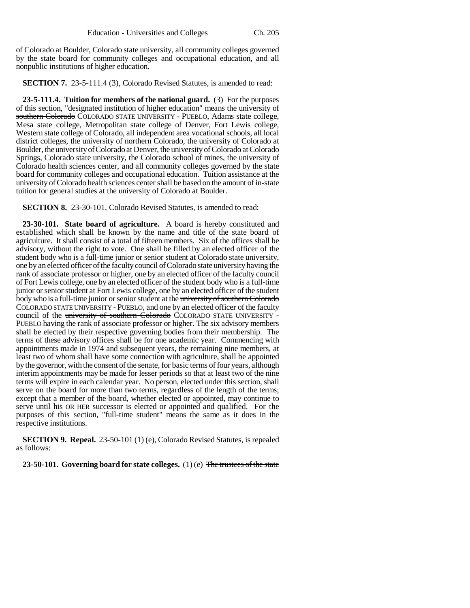of Colorado at Boulder, Colorado state university, all community colleges governed by the state board for community colleges and occupational education, and all nonpublic institutions of higher education.

**SECTION 7.** 23-5-111.4 (3), Colorado Revised Statutes, is amended to read:

**23-5-111.4. Tuition for members of the national guard.** (3) For the purposes of this section, "designated institution of higher education" means the university of southern Colorado COLORADO STATE UNIVERSITY - PUEBLO, Adams state college, Mesa state college, Metropolitan state college of Denver, Fort Lewis college, Western state college of Colorado, all independent area vocational schools, all local district colleges, the university of northern Colorado, the university of Colorado at Boulder, the university of Colorado at Denver, the university of Colorado at Colorado Springs, Colorado state university, the Colorado school of mines, the university of Colorado health sciences center, and all community colleges governed by the state board for community colleges and occupational education. Tuition assistance at the university of Colorado health sciences center shall be based on the amount of in-state tuition for general studies at the university of Colorado at Boulder.

**SECTION 8.** 23-30-101, Colorado Revised Statutes, is amended to read:

**23-30-101. State board of agriculture.** A board is hereby constituted and established which shall be known by the name and title of the state board of agriculture. It shall consist of a total of fifteen members. Six of the offices shall be advisory, without the right to vote. One shall be filled by an elected officer of the student body who is a full-time junior or senior student at Colorado state university, one by an elected officer of the faculty council of Colorado state university having the rank of associate professor or higher, one by an elected officer of the faculty council of Fort Lewis college, one by an elected officer of the student body who is a full-time junior or senior student at Fort Lewis college, one by an elected officer of the student body who is a full-time junior or senior student at the university of southern Colorado COLORADO STATE UNIVERSITY - PUEBLO, and one by an elected officer of the faculty council of the university of southern Colorado COLORADO STATE UNIVERSITY -PUEBLO having the rank of associate professor or higher. The six advisory members shall be elected by their respective governing bodies from their membership. The terms of these advisory offices shall be for one academic year. Commencing with appointments made in 1974 and subsequent years, the remaining nine members, at least two of whom shall have some connection with agriculture, shall be appointed by the governor, with the consent of the senate, for basic terms of four years, although interim appointments may be made for lesser periods so that at least two of the nine terms will expire in each calendar year. No person, elected under this section, shall serve on the board for more than two terms, regardless of the length of the terms; except that a member of the board, whether elected or appointed, may continue to serve until his OR HER successor is elected or appointed and qualified. For the purposes of this section, "full-time student" means the same as it does in the respective institutions.

**SECTION 9. Repeal.** 23-50-101 (1) (e), Colorado Revised Statutes, is repealed as follows:

**23-50-101. Governing board for state colleges.** (1) (e) The trustees of the state